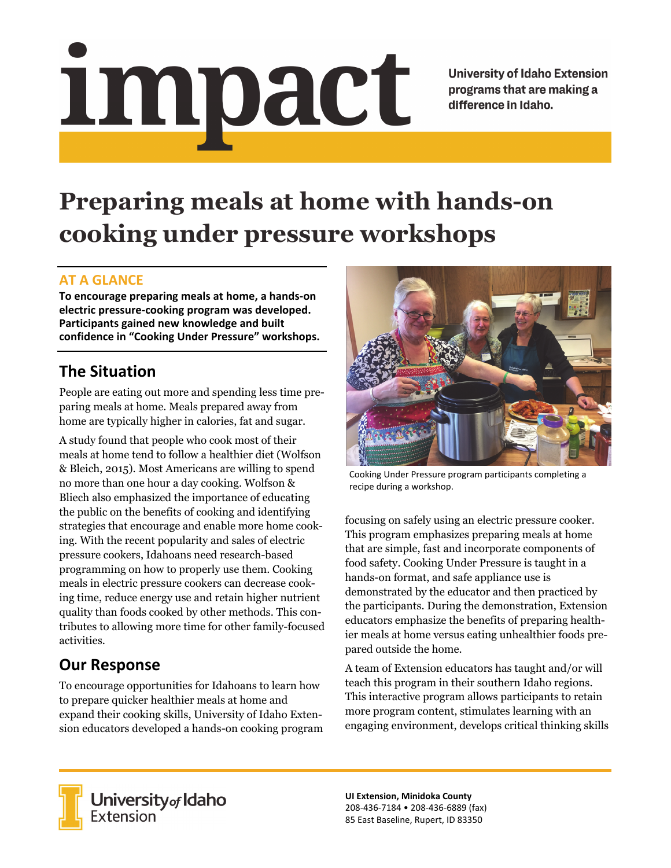# <u>impact</u>

**University of Idaho Extension** programs that are making a difference in Idaho.

# **Preparing meals at home with hands-on cooking under pressure workshops**

### **AT A GLANCE**

**To encourage preparing meals at home, a hands‐on electric pressure‐cooking program was developed. Participants gained new knowledge and built confidence in "Cooking Under Pressure" workshops.**

## **The Situation**

People are eating out more and spending less time preparing meals at home. Meals prepared away from home are typically higher in calories, fat and sugar.

A study found that people who cook most of their meals at home tend to follow a healthier diet (Wolfson & Bleich, 2015). Most Americans are willing to spend no more than one hour a day cooking. Wolfson & Bliech also emphasized the importance of educating the public on the benefits of cooking and identifying strategies that encourage and enable more home cooking. With the recent popularity and sales of electric pressure cookers, Idahoans need research-based programming on how to properly use them. Cooking meals in electric pressure cookers can decrease cooking time, reduce energy use and retain higher nutrient quality than foods cooked by other methods. This contributes to allowing more time for other family-focused activities.

# **Our Response**

To encourage opportunities for Idahoans to learn how to prepare quicker healthier meals at home and expand their cooking skills, University of Idaho Extension educators developed a hands-on cooking program



Cooking Under Pressure program participants completing a recipe during a workshop.

focusing on safely using an electric pressure cooker. This program emphasizes preparing meals at home that are simple, fast and incorporate components of food safety. Cooking Under Pressure is taught in a hands-on format, and safe appliance use is demonstrated by the educator and then practiced by the participants. During the demonstration, Extension educators emphasize the benefits of preparing healthier meals at home versus eating unhealthier foods prepared outside the home.

A team of Extension educators has taught and/or will teach this program in their southern Idaho regions. This interactive program allows participants to retain more program content, stimulates learning with an engaging environment, develops critical thinking skills



**University** of Idaho<br>Extension

**UI Extension, Minidoka County** 208‐436‐7184 • 208‐436‐6889 (fax) 85 East Baseline, Rupert, ID 83350